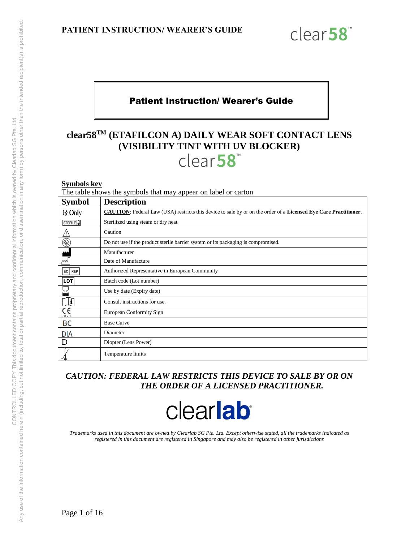

## Patient Instruction/ Wearer's Guide

## **clear58TM (ETAFILCON A) DAILY WEAR SOFT CONTACT LENS (VISIBILITY TINT WITH UV BLOCKER)**  clear58

#### **Symbols key**

The table shows the symbols that may appear on label or carton

| <b>Symbol</b>                          | <b>Description</b>                                                                                                      |
|----------------------------------------|-------------------------------------------------------------------------------------------------------------------------|
| $R$ Only                               | <b>CAUTION:</b> Federal Law (USA) restricts this device to sale by or on the order of a Licensed Eye Care Practitioner. |
| STERILE <sup>1</sup>                   | Sterilized using steam or dry heat                                                                                      |
|                                        | Caution                                                                                                                 |
| $\circledR$                            | Do not use if the product sterile barrier system or its packaging is compromised.                                       |
|                                        | Manufacturer                                                                                                            |
| мM                                     | Date of Manufacture                                                                                                     |
| EC   REP                               | Authorized Representative in European Community                                                                         |
| LOT                                    | Batch code (Lot number)                                                                                                 |
|                                        | Use by date (Expiry date)                                                                                               |
| i                                      | Consult instructions for use.                                                                                           |
| $\mathop{\mathsf{C}}\limits_{_{0123}}$ | European Conformity Sign                                                                                                |
| ВC                                     | <b>Base Curve</b>                                                                                                       |
| <b>DIA</b>                             | Diameter                                                                                                                |
| D                                      | Diopter (Lens Power)                                                                                                    |
|                                        | <b>Temperature limits</b>                                                                                               |

## *CAUTION: FEDERAL LAW RESTRICTS THIS DEVICE TO SALE BY OR ON THE ORDER OF A LICENSED PRACTITIONER.*

# clearlab<sup>®</sup>

*Trademarks used in this document are owned by Clearlab SG Pte. Ltd. Except otherwise stated, all the trademarks indicated as registered in this document are registered in Singapore and may also be registered in other jurisdictions*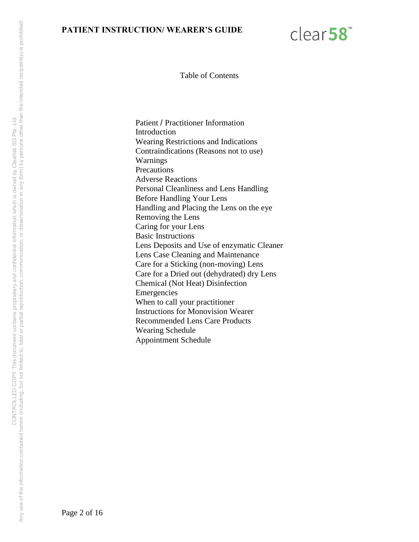

Table of Contents

Patient / Practitioner Information Introduction Wearing Restrictions and Indications Contraindications (Reasons not to use) Warnings **Precautions** Adverse Reactions Personal Cleanliness and Lens Handling Before Handling Your Lens Handling and Placing the Lens on the eye Removing the Lens Caring for your Lens Basic Instructions Lens Deposits and Use of enzymatic Cleaner Lens Case Cleaning and Maintenance Care for a Sticking (non-moving) Lens Care for a Dried out (dehydrated) dry Lens Chemical (Not Heat) Disinfection Emergencies When to call your practitioner Instructions for Monovision Wearer Recommended Lens Care Products Wearing Schedule Appointment Schedule

Page 2 of 16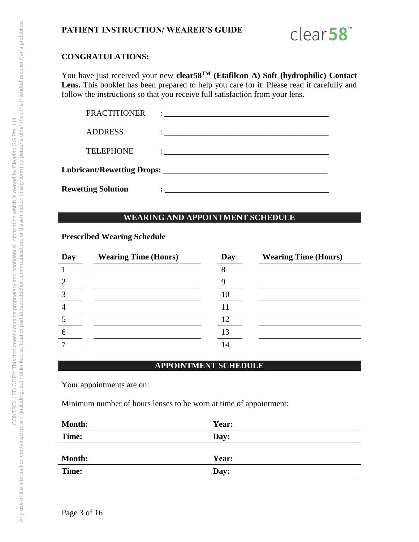

#### **CONGRATULATIONS:**

You have just received your new **clear58TM (Etafilcon A) Soft (hydrophilic) Contact**  Lens. This booklet has been prepared to help you care for it. Please read it carefully and follow the instructions so that you receive full satisfaction from your lens.

| <b>Rewetting Solution</b> |                                                                                                                                                                                                                                 |  |  |
|---------------------------|---------------------------------------------------------------------------------------------------------------------------------------------------------------------------------------------------------------------------------|--|--|
|                           |                                                                                                                                                                                                                                 |  |  |
| <b>TELEPHONE</b>          | $\ddotsc$ , and the contract of the contract of the contract of the contract of the contract of the contract of the contract of the contract of the contract of the contract of the contract of the contract of the contract of |  |  |
| <b>ADDRESS</b>            |                                                                                                                                                                                                                                 |  |  |
| <b>PRACTITIONER</b>       | $\ddot{\cdot}$ . The contract of the contract of $\dot{\cdot}$                                                                                                                                                                  |  |  |

#### **WEARING AND APPOINTMENT SCHEDULE**

#### **Prescribed Wearing Schedule**

| Day | <b>Wearing Time (Hours)</b> | Day | <b>Wearing Time (Hours)</b> |
|-----|-----------------------------|-----|-----------------------------|
|     |                             |     |                             |
|     |                             |     |                             |
|     |                             | 10  |                             |
|     |                             |     |                             |
|     |                             | 12  |                             |
|     |                             | 13  |                             |
|     |                             | 14  |                             |

#### **APPOINTMENT SCHEDULE**

Your appointments are on:

Minimum number of hours lenses to be worn at time of appointment:

| <b>Month:</b> | Year: |
|---------------|-------|
| Time:         | Day:  |
|               |       |
| <b>Month:</b> | Year: |
| Time:         | Day:  |

Any use of the information contained herein (including, but not limited to, total or partial reproduction, communication, or dissemination in any form) by persons other than the intended recipient(s) is prohibited. Any use of the information contained herein (including, but not imitate to having the proprietary and confidential information which is owned by Clearlab SG Pte. Ltd.<br>Any use of the information contained herein (including, CONTROLLED COPY This document contains proprietary and confidential information which is owned by Clearlab SG Pte. Ltd.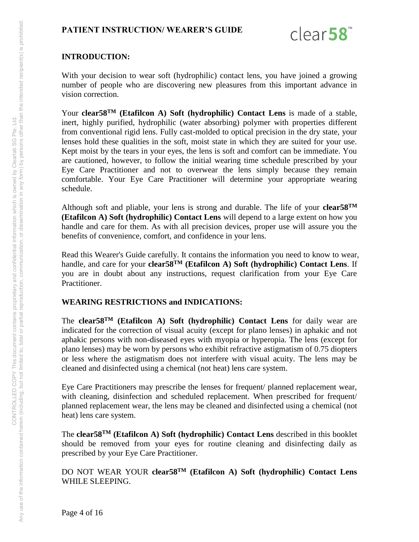

## **INTRODUCTION:**

With your decision to wear soft (hydrophilic) contact lens, you have joined a growing number of people who are discovering new pleasures from this important advance in vision correction.

Your **clear58TM (Etafilcon A) Soft (hydrophilic) Contact Lens** is made of a stable, inert, highly purified, hydrophilic (water absorbing) polymer with properties different from conventional rigid lens. Fully cast-molded to optical precision in the dry state, your lenses hold these qualities in the soft, moist state in which they are suited for your use. Kept moist by the tears in your eyes, the lens is soft and comfort can be immediate. You are cautioned, however, to follow the initial wearing time schedule prescribed by your Eye Care Practitioner and not to overwear the lens simply because they remain comfortable. Your Eye Care Practitioner will determine your appropriate wearing schedule.

Although soft and pliable, your lens is strong and durable. The life of your **clear58TM (Etafilcon A) Soft (hydrophilic) Contact Lens** will depend to a large extent on how you handle and care for them. As with all precision devices, proper use will assure you the benefits of convenience, comfort, and confidence in your lens.

Read this Wearer's Guide carefully. It contains the information you need to know to wear, handle, and care for your **clear58TM (Etafilcon A) Soft (hydrophilic) Contact Lens**. If you are in doubt about any instructions, request clarification from your Eye Care Practitioner.

#### **WEARING RESTRICTIONS and INDICATIONS:**

The **clear58TM (Etafilcon A) Soft (hydrophilic) Contact Lens** for daily wear are indicated for the correction of visual acuity (except for plano lenses) in aphakic and not aphakic persons with non-diseased eyes with myopia or hyperopia. The lens (except for plano lenses) may be worn by persons who exhibit refractive astigmatism of 0.75 diopters or less where the astigmatism does not interfere with visual acuity. The lens may be cleaned and disinfected using a chemical (not heat) lens care system.

Eye Care Practitioners may prescribe the lenses for frequent/ planned replacement wear, with cleaning, disinfection and scheduled replacement. When prescribed for frequent/ planned replacement wear, the lens may be cleaned and disinfected using a chemical (not heat) lens care system.

The **clear58TM (Etafilcon A) Soft (hydrophilic) Contact Lens** described in this booklet should be removed from your eyes for routine cleaning and disinfecting daily as prescribed by your Eye Care Practitioner.

DO NOT WEAR YOUR **clear58TM (Etafilcon A) Soft (hydrophilic) Contact Lens** WHILE SLEEPING.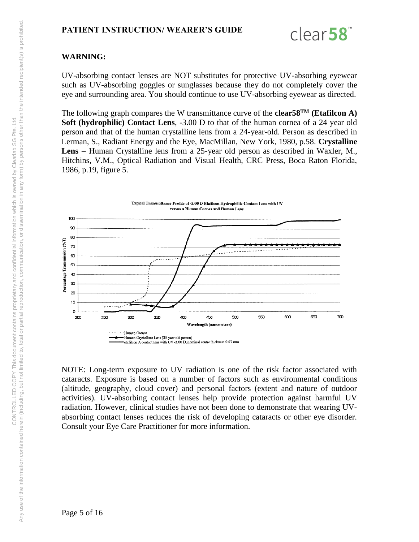

## **WARNING:**

UV-absorbing contact lenses are NOT substitutes for protective UV-absorbing eyewear such as UV-absorbing goggles or sunglasses because they do not completely cover the eye and surrounding area. You should continue to use UV-absorbing eyewear as directed.

The following graph compares the W transmittance curve of the **clear58TM (Etafilcon A) Soft (hydrophilic) Contact Lens**, -3**.**00 D to that of the human cornea of a 24 year old person and that of the human crystalline lens from a 24-year-old. Person as described in Lerman, S., Radiant Energy and the Eye, MacMillan, New York, 1980, p.58. **Crystalline Lens –** Human Crystalline lens from a 25-year old person as described in Waxler, M., Hitchins, V.M., Optical Radiation and Visual Health, CRC Press, Boca Raton Florida, 1986, p.19, figure 5.



NOTE: Long-term exposure to UV radiation is one of the risk factor associated with cataracts. Exposure is based on a number of factors such as environmental conditions (altitude, geography, cloud cover) and personal factors (extent and nature of outdoor activities). UV-absorbing contact lenses help provide protection against harmful UV radiation. However, clinical studies have not been done to demonstrate that wearing UVabsorbing contact lenses reduces the risk of developing cataracts or other eye disorder. Consult your Eye Care Practitioner for more information.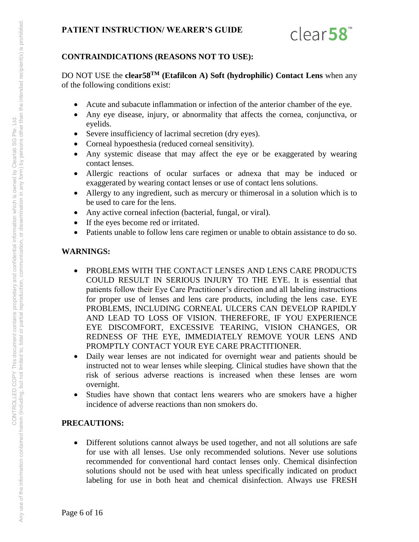

## **CONTRAINDICATIONS (REASONS NOT TO USE):**

DO NOT USE the **clear58TM (Etafilcon A) Soft (hydrophilic) Contact Lens** when any of the following conditions exist:

- Acute and subacute inflammation or infection of the anterior chamber of the eye.
- Any eye disease, injury, or abnormality that affects the cornea, conjunctiva, or eyelids.
- Severe insufficiency of lacrimal secretion (dry eyes).
- Corneal hypoesthesia (reduced corneal sensitivity).
- Any systemic disease that may affect the eye or be exaggerated by wearing contact lenses.
- Allergic reactions of ocular surfaces or adnexa that may be induced or exaggerated by wearing contact lenses or use of contact lens solutions.
- Allergy to any ingredient, such as mercury or thimerosal in a solution which is to be used to care for the lens.
- Any active corneal infection (bacterial, fungal, or viral).
- If the eyes become red or irritated.
- Patients unable to follow lens care regimen or unable to obtain assistance to do so.

## **WARNINGS:**

- PROBLEMS WITH THE CONTACT LENSES AND LENS CARE PRODUCTS COULD RESULT IN SERIOUS INJURY TO THE EYE. It is essential that patients follow their Eye Care Practitioner's direction and all labeling instructions for proper use of lenses and lens care products, including the lens case. EYE PROBLEMS, INCLUDING CORNEAL ULCERS CAN DEVELOP RAPIDLY AND LEAD TO LOSS OF VISION. THEREFORE, IF YOU EXPERIENCE EYE DISCOMFORT, EXCESSIVE TEARING, VISION CHANGES, OR REDNESS OF THE EYE, IMMEDIATELY REMOVE YOUR LENS AND PROMPTLY CONTACT YOUR EYE CARE PRACTITIONER.
- Daily wear lenses are not indicated for overnight wear and patients should be instructed not to wear lenses while sleeping. Clinical studies have shown that the risk of serious adverse reactions is increased when these lenses are worn overnight.
- Studies have shown that contact lens wearers who are smokers have a higher incidence of adverse reactions than non smokers do.

## **PRECAUTIONS:**

 Different solutions cannot always be used together, and not all solutions are safe for use with all lenses. Use only recommended solutions. Never use solutions recommended for conventional hard contact lenses only. Chemical disinfection solutions should not be used with heat unless specifically indicated on product labeling for use in both heat and chemical disinfection. Always use FRESH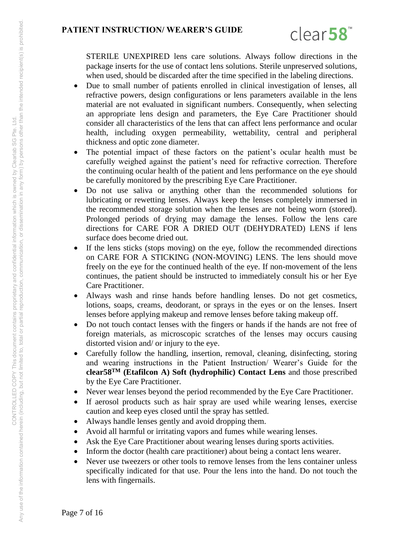

STERILE UNEXPIRED lens care solutions. Always follow directions in the package inserts for the use of contact lens solutions. Sterile unpreserved solutions, when used, should be discarded after the time specified in the labeling directions.

- Due to small number of patients enrolled in clinical investigation of lenses, all refractive powers, design configurations or lens parameters available in the lens material are not evaluated in significant numbers. Consequently, when selecting an appropriate lens design and parameters, the Eye Care Practitioner should consider all characteristics of the lens that can affect lens performance and ocular health, including oxygen permeability, wettability, central and peripheral thickness and optic zone diameter.
- The potential impact of these factors on the patient's ocular health must be carefully weighed against the patient's need for refractive correction. Therefore the continuing ocular health of the patient and lens performance on the eye should be carefully monitored by the prescribing Eye Care Practitioner.
- Do not use saliva or anything other than the recommended solutions for lubricating or rewetting lenses. Always keep the lenses completely immersed in the recommended storage solution when the lenses are not being worn (stored). Prolonged periods of drying may damage the lenses. Follow the lens care directions for CARE FOR A DRIED OUT (DEHYDRATED) LENS if lens surface does become dried out.
- If the lens sticks (stops moving) on the eye, follow the recommended directions on CARE FOR A STICKING (NON-MOVING) LENS. The lens should move freely on the eye for the continued health of the eye. If non-movement of the lens continues, the patient should be instructed to immediately consult his or her Eye Care Practitioner.
- Always wash and rinse hands before handling lenses. Do not get cosmetics, lotions, soaps, creams, deodorant, or sprays in the eyes or on the lenses. Insert lenses before applying makeup and remove lenses before taking makeup off.
- Do not touch contact lenses with the fingers or hands if the hands are not free of foreign materials, as microscopic scratches of the lenses may occurs causing distorted vision and/ or injury to the eye.
- Carefully follow the handling, insertion, removal, cleaning, disinfecting, storing and wearing instructions in the Patient Instruction/ Wearer's Guide for the **clear58TM (Etafilcon A) Soft (hydrophilic) Contact Lens** and those prescribed by the Eye Care Practitioner.
- Never wear lenses beyond the period recommended by the Eye Care Practitioner.
- If aerosol products such as hair spray are used while wearing lenses, exercise caution and keep eyes closed until the spray has settled.
- Always handle lenses gently and avoid dropping them.
- Avoid all harmful or irritating vapors and fumes while wearing lenses.
- Ask the Eye Care Practitioner about wearing lenses during sports activities.
- Inform the doctor (health care practitioner) about being a contact lens wearer.
- Never use tweezers or other tools to remove lenses from the lens container unless specifically indicated for that use. Pour the lens into the hand. Do not touch the lens with fingernails.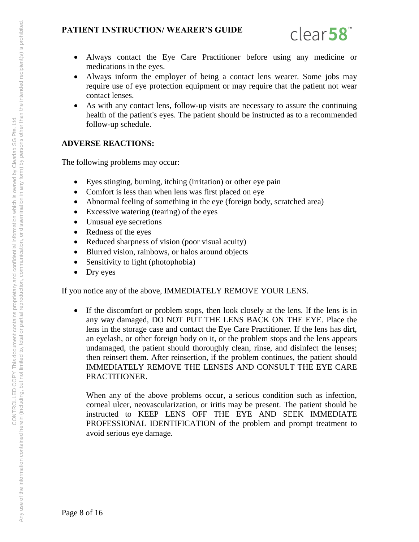

- Always contact the Eye Care Practitioner before using any medicine or medications in the eyes.
- Always inform the employer of being a contact lens wearer. Some jobs may require use of eye protection equipment or may require that the patient not wear contact lenses.
- As with any contact lens, follow-up visits are necessary to assure the continuing health of the patient's eyes. The patient should be instructed as to a recommended follow-up schedule.

#### **ADVERSE REACTIONS:**

The following problems may occur:

- Eyes stinging, burning, itching (irritation) or other eye pain
- Comfort is less than when lens was first placed on eye
- Abnormal feeling of something in the eye (foreign body, scratched area)
- Excessive watering (tearing) of the eyes
- Unusual eye secretions
- Redness of the eyes
- Reduced sharpness of vision (poor visual acuity)
- Blurred vision, rainbows, or halos around objects
- Sensitivity to light (photophobia)
- Dry eyes

If you notice any of the above, IMMEDIATELY REMOVE YOUR LENS.

 If the discomfort or problem stops, then look closely at the lens. If the lens is in any way damaged, DO NOT PUT THE LENS BACK ON THE EYE. Place the lens in the storage case and contact the Eye Care Practitioner. If the lens has dirt, an eyelash, or other foreign body on it, or the problem stops and the lens appears undamaged, the patient should thoroughly clean, rinse, and disinfect the lenses; then reinsert them. After reinsertion, if the problem continues, the patient should IMMEDIATELY REMOVE THE LENSES AND CONSULT THE EYE CARE PRACTITIONER.

When any of the above problems occur, a serious condition such as infection, corneal ulcer, neovascularization, or iritis may be present. The patient should be instructed to KEEP LENS OFF THE EYE AND SEEK IMMEDIATE PROFESSIONAL IDENTIFICATION of the problem and prompt treatment to avoid serious eye damage.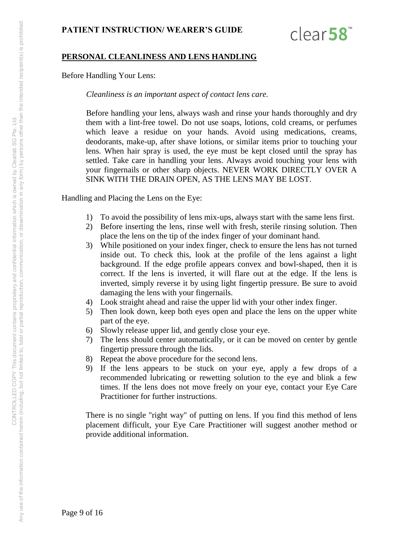

#### **PERSONAL CLEANLINESS AND LENS HANDLING**

Before Handling Your Lens:

*Cleanliness is an important aspect of contact lens care.* 

Before handling your lens, always wash and rinse your hands thoroughly and dry them with a lint-free towel. Do not use soaps, lotions, cold creams, or perfumes which leave a residue on your hands. Avoid using medications, creams, deodorants, make-up, after shave lotions, or similar items prior to touching your lens. When hair spray is used, the eye must be kept closed until the spray has settled. Take care in handling your lens. Always avoid touching your lens with your fingernails or other sharp objects. NEVER WORK DIRECTLY OVER A SINK WITH THE DRAIN OPEN, AS THE LENS MAY BE LOST.

Handling and Placing the Lens on the Eye:

- 1) To avoid the possibility of lens mix-ups, always start with the same lens first.
- 2) Before inserting the lens, rinse well with fresh, sterile rinsing solution. Then place the lens on the tip of the index finger of your dominant hand.
- 3) While positioned on your index finger, check to ensure the lens has not turned inside out. To check this, look at the profile of the lens against a light background. If the edge profile appears convex and bowl-shaped, then it is correct. If the lens is inverted, it will flare out at the edge. If the lens is inverted, simply reverse it by using light fingertip pressure. Be sure to avoid damaging the lens with your fingernails.
- 4) Look straight ahead and raise the upper lid with your other index finger.
- 5) Then look down, keep both eyes open and place the lens on the upper white part of the eye.
- 6) Slowly release upper lid, and gently close your eye.
- 7) The lens should center automatically, or it can be moved on center by gentle fingertip pressure through the lids.
- 8) Repeat the above procedure for the second lens.
- 9) If the lens appears to be stuck on your eye, apply a few drops of a recommended lubricating or rewetting solution to the eye and blink a few times. If the lens does not move freely on your eye, contact your Eye Care Practitioner for further instructions.

There is no single "right way" of putting on lens. If you find this method of lens placement difficult, your Eye Care Practitioner will suggest another method or provide additional information.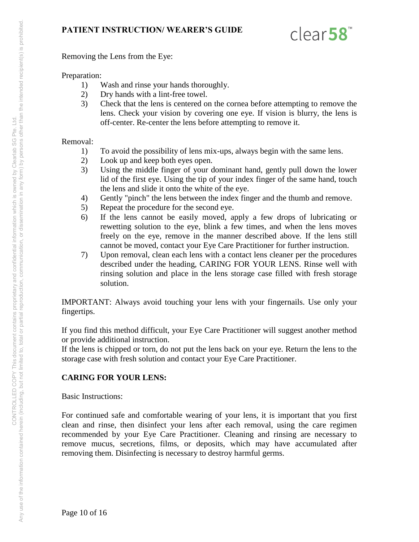

Removing the Lens from the Eye:

#### Preparation:

- 1) Wash and rinse your hands thoroughly.
- 2) Dry hands with a lint-free towel.
- 3) Check that the lens is centered on the cornea before attempting to remove the lens. Check your vision by covering one eye. If vision is blurry, the lens is off-center. Re-center the lens before attempting to remove it.

#### Removal:

- 1) To avoid the possibility of lens mix-ups, always begin with the same lens.
- 2) Look up and keep both eyes open.
- 3) Using the middle finger of your dominant hand, gently pull down the lower lid of the first eye. Using the tip of your index finger of the same hand, touch the lens and slide it onto the white of the eye.
- 4) Gently "pinch" the lens between the index finger and the thumb and remove.
- 5) Repeat the procedure for the second eye.
- 6) If the lens cannot be easily moved, apply a few drops of lubricating or rewetting solution to the eye, blink a few times, and when the lens moves freely on the eye, remove in the manner described above. If the lens still cannot be moved, contact your Eye Care Practitioner for further instruction.
- 7) Upon removal, clean each lens with a contact lens cleaner per the procedures described under the heading, CARING FOR YOUR LENS. Rinse well with rinsing solution and place in the lens storage case filled with fresh storage solution.

IMPORTANT: Always avoid touching your lens with your fingernails. Use only your fingertips.

If you find this method difficult, your Eye Care Practitioner will suggest another method or provide additional instruction.

If the lens is chipped or torn, do not put the lens back on your eye. Return the lens to the storage case with fresh solution and contact your Eye Care Practitioner.

#### **CARING FOR YOUR LENS:**

Basic Instructions:

For continued safe and comfortable wearing of your lens, it is important that you first clean and rinse, then disinfect your lens after each removal, using the care regimen recommended by your Eye Care Practitioner. Cleaning and rinsing are necessary to remove mucus, secretions, films, or deposits, which may have accumulated after removing them. Disinfecting is necessary to destroy harmful germs.

Page 10 of 16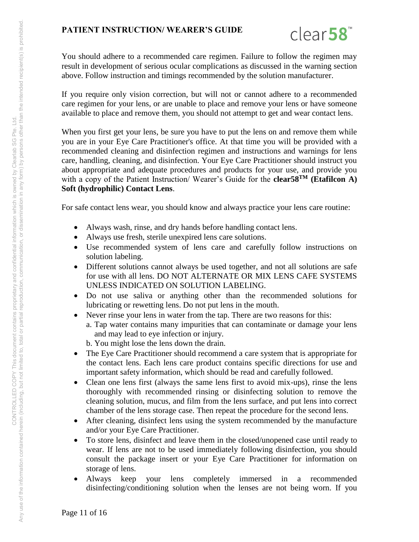

You should adhere to a recommended care regimen. Failure to follow the regimen may result in development of serious ocular complications as discussed in the warning section above. Follow instruction and timings recommended by the solution manufacturer.

If you require only vision correction, but will not or cannot adhere to a recommended care regimen for your lens, or are unable to place and remove your lens or have someone available to place and remove them, you should not attempt to get and wear contact lens.

When you first get your lens, be sure you have to put the lens on and remove them while you are in your Eye Care Practitioner's office. At that time you will be provided with a recommended cleaning and disinfection regimen and instructions and warnings for lens care, handling, cleaning, and disinfection. Your Eye Care Practitioner should instruct you about appropriate and adequate procedures and products for your use, and provide you with a copy of the Patient Instruction/ Wearer's Guide for the **clear58TM (Etafilcon A) Soft (hydrophilic) Contact Lens**.

For safe contact lens wear, you should know and always practice your lens care routine:

- Always wash, rinse, and dry hands before handling contact lens.
- Always use fresh, sterile unexpired lens care solutions.
- Use recommended system of lens care and carefully follow instructions on solution labeling.
- Different solutions cannot always be used together, and not all solutions are safe for use with all lens. DO NOT ALTERNATE OR MIX LENS CAFE SYSTEMS UNLESS INDICATED ON SOLUTION LABELING.
- Do not use saliva or anything other than the recommended solutions for lubricating or rewetting lens. Do not put lens in the mouth.
- Never rinse your lens in water from the tap. There are two reasons for this:
	- a. Tap water contains many impurities that can contaminate or damage your lens and may lead to eye infection or injury.
		- b. You might lose the lens down the drain.
- The Eye Care Practitioner should recommend a care system that is appropriate for the contact lens. Each lens care product contains specific directions for use and important safety information, which should be read and carefully followed.
- Clean one lens first (always the same lens first to avoid mix-ups), rinse the lens thoroughly with recommended rinsing or disinfecting solution to remove the cleaning solution, mucus, and film from the lens surface, and put lens into correct chamber of the lens storage case. Then repeat the procedure for the second lens.
- After cleaning, disinfect lens using the system recommended by the manufacture and/or your Eye Care Practitioner.
- To store lens, disinfect and leave them in the closed/unopened case until ready to wear. If lens are not to be used immediately following disinfection, you should consult the package insert or your Eye Care Practitioner for information on storage of lens.
- Always keep your lens completely immersed in a recommended disinfecting/conditioning solution when the lenses are not being worn. If you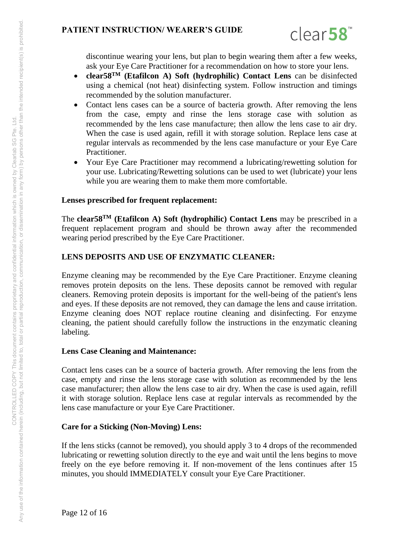

discontinue wearing your lens, but plan to begin wearing them after a few weeks, ask your Eye Care Practitioner for a recommendation on how to store your lens.

- **clear58TM (Etafilcon A) Soft (hydrophilic) Contact Lens** can be disinfected using a chemical (not heat) disinfecting system. Follow instruction and timings recommended by the solution manufacturer.
- Contact lens cases can be a source of bacteria growth. After removing the lens from the case, empty and rinse the lens storage case with solution as recommended by the lens case manufacture; then allow the lens case to air dry. When the case is used again, refill it with storage solution. Replace lens case at regular intervals as recommended by the lens case manufacture or your Eye Care Practitioner.
- Your Eye Care Practitioner may recommend a lubricating/rewetting solution for your use. Lubricating/Rewetting solutions can be used to wet (lubricate) your lens while you are wearing them to make them more comfortable.

#### **Lenses prescribed for frequent replacement:**

The **clear58TM (Etafilcon A) Soft (hydrophilic) Contact Lens** may be prescribed in a frequent replacement program and should be thrown away after the recommended wearing period prescribed by the Eye Care Practitioner.

#### **LENS DEPOSITS AND USE OF ENZYMATIC CLEANER:**

Enzyme cleaning may be recommended by the Eye Care Practitioner. Enzyme cleaning removes protein deposits on the lens. These deposits cannot be removed with regular cleaners. Removing protein deposits is important for the well-being of the patient's lens and eyes. If these deposits are not removed, they can damage the lens and cause irritation. Enzyme cleaning does NOT replace routine cleaning and disinfecting. For enzyme cleaning, the patient should carefully follow the instructions in the enzymatic cleaning labeling.

#### **Lens Case Cleaning and Maintenance:**

Contact lens cases can be a source of bacteria growth. After removing the lens from the case, empty and rinse the lens storage case with solution as recommended by the lens case manufacturer; then allow the lens case to air dry. When the case is used again, refill it with storage solution. Replace lens case at regular intervals as recommended by the lens case manufacture or your Eye Care Practitioner.

#### **Care for a Sticking (Non-Moving) Lens:**

If the lens sticks (cannot be removed), you should apply 3 to 4 drops of the recommended lubricating or rewetting solution directly to the eye and wait until the lens begins to move freely on the eye before removing it. If non-movement of the lens continues after 15 minutes, you should IMMEDIATELY consult your Eye Care Practitioner.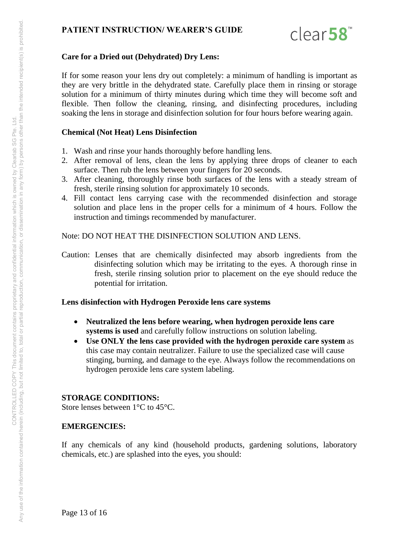

#### **Care for a Dried out (Dehydrated) Dry Lens:**

If for some reason your lens dry out completely: a minimum of handling is important as they are very brittle in the dehydrated state. Carefully place them in rinsing or storage solution for a minimum of thirty minutes during which time they will become soft and flexible. Then follow the cleaning, rinsing, and disinfecting procedures, including soaking the lens in storage and disinfection solution for four hours before wearing again.

#### **Chemical (Not Heat) Lens Disinfection**

- 1. Wash and rinse your hands thoroughly before handling lens.
- 2. After removal of lens, clean the lens by applying three drops of cleaner to each surface. Then rub the lens between your fingers for 20 seconds.
- 3. After cleaning, thoroughly rinse both surfaces of the lens with a steady stream of fresh, sterile rinsing solution for approximately 10 seconds.
- 4. Fill contact lens carrying case with the recommended disinfection and storage solution and place lens in the proper cells for a minimum of 4 hours. Follow the instruction and timings recommended by manufacturer.

Note: DO NOT HEAT THE DISINFECTION SOLUTION AND LENS.

Caution: Lenses that are chemically disinfected may absorb ingredients from the disinfecting solution which may be irritating to the eyes. A thorough rinse in fresh, sterile rinsing solution prior to placement on the eye should reduce the potential for irritation.

## **Lens disinfection with Hydrogen Peroxide lens care systems**

- **Neutralized the lens before wearing, when hydrogen peroxide lens care systems is used** and carefully follow instructions on solution labeling.
- **Use ONLY the lens case provided with the hydrogen peroxide care system** as this case may contain neutralizer. Failure to use the specialized case will cause stinging, burning, and damage to the eye. Always follow the recommendations on hydrogen peroxide lens care system labeling.

#### **STORAGE CONDITIONS:**

Store lenses between 1°C to 45°C.

#### **EMERGENCIES:**

If any chemicals of any kind (household products, gardening solutions, laboratory chemicals, etc.) are splashed into the eyes, you should:

Page 13 of 16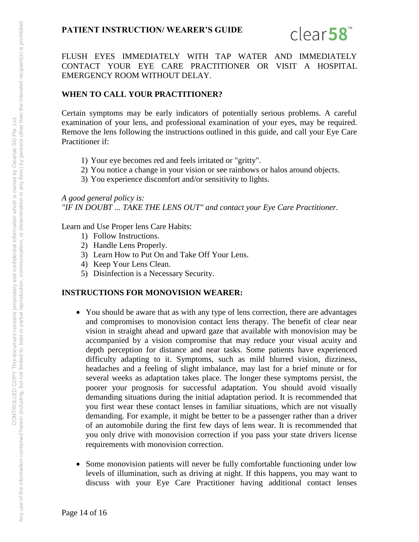

FLUSH EYES IMMEDIATELY WITH TAP WATER AND IMMEDIATELY CONTACT YOUR EYE CARE PRACTITIONER OR VISIT A HOSPITAL EMERGENCY ROOM WITHOUT DELAY.

## **WHEN TO CALL YOUR PRACTITIONER?**

Certain symptoms may be early indicators of potentially serious problems. A careful examination of your lens, and professional examination of your eyes, may be required. Remove the lens following the instructions outlined in this guide, and call your Eye Care Practitioner if:

- 1) Your eye becomes red and feels irritated or "gritty".
- 2) You notice a change in your vision or see rainbows or halos around objects.
- 3) You experience discomfort and/or sensitivity to lights.

*A good general policy is: "IF IN DOUBT ... TAKE THE LENS OUT" and contact your Eye Care Practitioner.* 

Learn and Use Proper lens Care Habits:

- 1) Follow Instructions.
- 2) Handle Lens Properly.
- 3) Learn How to Put On and Take Off Your Lens.
- 4) Keep Your Lens Clean.
- 5) Disinfection is a Necessary Security.

#### **INSTRUCTIONS FOR MONOVISION WEARER:**

- You should be aware that as with any type of lens correction, there are advantages and compromises to monovision contact lens therapy. The benefit of clear near vision in straight ahead and upward gaze that available with monovision may be accompanied by a vision compromise that may reduce your visual acuity and depth perception for distance and near tasks. Some patients have experienced difficulty adapting to it. Symptoms, such as mild blurred vision, dizziness, headaches and a feeling of slight imbalance, may last for a brief minute or for several weeks as adaptation takes place. The longer these symptoms persist, the poorer your prognosis for successful adaptation. You should avoid visually demanding situations during the initial adaptation period. It is recommended that you first wear these contact lenses in familiar situations, which are not visually demanding. For example, it might be better to be a passenger rather than a driver of an automobile during the first few days of lens wear. It is recommended that you only drive with monovision correction if you pass your state drivers license requirements with monovision correction.
- Some monovision patients will never be fully comfortable functioning under low levels of illumination, such as driving at night. If this happens, you may want to discuss with your Eye Care Practitioner having additional contact lenses

Page 14 of 16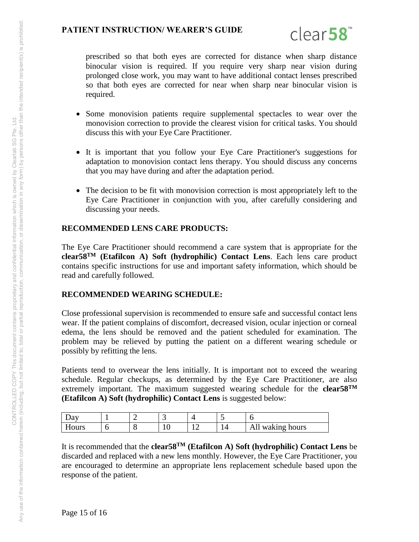

prescribed so that both eyes are corrected for distance when sharp distance binocular vision is required. If you require very sharp near vision during prolonged close work, you may want to have additional contact lenses prescribed so that both eyes are corrected for near when sharp near binocular vision is required.

- Some monovision patients require supplemental spectacles to wear over the monovision correction to provide the clearest vision for critical tasks. You should discuss this with your Eye Care Practitioner.
- It is important that you follow your Eye Care Practitioner's suggestions for adaptation to monovision contact lens therapy. You should discuss any concerns that you may have during and after the adaptation period.
- The decision to be fit with monovision correction is most appropriately left to the Eye Care Practitioner in conjunction with you, after carefully considering and discussing your needs.

## **RECOMMENDED LENS CARE PRODUCTS:**

The Eye Care Practitioner should recommend a care system that is appropriate for the **clear58TM (Etafilcon A) Soft (hydrophilic) Contact Lens**. Each lens care product contains specific instructions for use and important safety information, which should be read and carefully followed.

#### **RECOMMENDED WEARING SCHEDULE:**

Close professional supervision is recommended to ensure safe and successful contact lens wear. If the patient complains of discomfort, decreased vision, ocular injection or corneal edema, the lens should be removed and the patient scheduled for examination. The problem may be relieved by putting the patient on a different wearing schedule or possibly by refitting the lens.

Patients tend to overwear the lens initially. It is important not to exceed the wearing schedule. Regular checkups, as determined by the Eye Care Practitioner, are also extremely important. The maximum suggested wearing schedule for the **clear58TM (Etafilcon A) Soft (hydrophilic) Contact Lens** is suggested below:

| vu    |   | ∼ | ັ      | $\sim$ |              |
|-------|---|---|--------|--------|--------------|
| Hours | ◡ | ີ | ◡<br>- | . .    | waking hours |

It is recommended that the **clear58TM (Etafilcon A) Soft (hydrophilic) Contact Lens** be discarded and replaced with a new lens monthly. However, the Eye Care Practitioner, you are encouraged to determine an appropriate lens replacement schedule based upon the response of the patient.